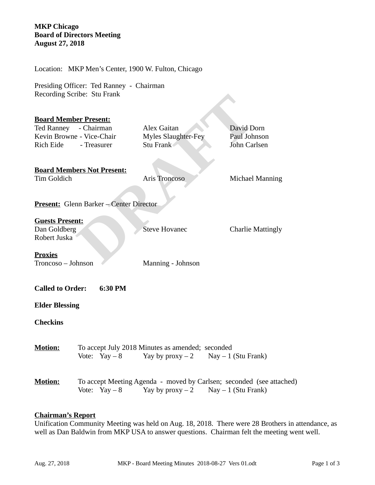# **MKP Chicago Board of Directors Meeting August 27, 2018**

Present:<br> **DRAFT COMPRESS**<br>
- Chairman<br>
- Vice-Chair Myles Slaughter-Fey Paul Johnson<br>
- Treasurer Stu Frank David Dorn<br>
- Treasurer Stu Frank David Dorn Carlsen<br>
ers Not Present:<br>
Aris Troncoso Michael Man<br>
- Michael Man<br> Location: MKP Men's Center, 1900 W. Fulton, Chicago Presiding Officer: Ted Ranney - Chairman Recording Scribe: Stu Frank **Board Member Present:** Ted Ranney - Chairman Alex Gaitan David Dorn Kevin Browne - Vice-Chair Myles Slaughter-Fey Paul Johnson Rich Eide - Treasurer Stu Frank John Carlsen **Board Members Not Present:** Tim Goldich Aris Troncoso Michael Manning **Present:** Glenn Barker – Center Director **Guests Present:** Dan Goldberg Steve Hovanec Charlie Mattingly Robert Juska **Proxies** Troncoso – Johnson Manning - Johnson **Called to Order: 6:30 PM Elder Blessing Checkins Motion:** To accept July 2018 Minutes as amended; seconded Vote: Yay – 8 Yay by proxy – 2 Nay – 1 (Stu Frank) **Motion:** To accept Meeting Agenda - moved by Carlsen; seconded (see attached) Vote: Yay – 8 Yay by proxy – 2 Nay – 1 (Stu Frank)

#### **Chairman's Report**

Unification Community Meeting was held on Aug. 18, 2018. There were 28 Brothers in attendance, as well as Dan Baldwin from MKP USA to answer questions. Chairman felt the meeting went well.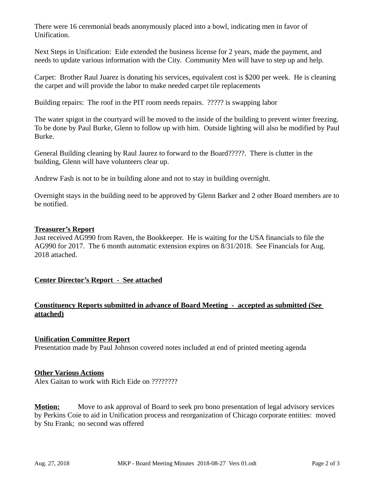There were 16 ceremonial beads anonymously placed into a bowl, indicating men in favor of Unification.

Next Steps in Unification: Eide extended the business license for 2 years, made the payment, and needs to update various information with the City. Community Men will have to step up and help.

Carpet: Brother Raul Juarez is donating his services, equivalent cost is \$200 per week. He is cleaning the carpet and will provide the labor to make needed carpet tile replacements

Building repairs: The roof in the PIT room needs repairs. ????? is swapping labor

The water spigot in the courtyard will be moved to the inside of the building to prevent winter freezing. To be done by Paul Burke, Glenn to follow up with him. Outside lighting will also be modified by Paul Burke.

General Building cleaning by Raul Jaurez to forward to the Board?????. There is clutter in the building, Glenn will have volunteers clear up.

Andrew Fash is not to be in building alone and not to stay in building overnight.

Overnight stays in the building need to be approved by Glenn Barker and 2 other Board members are to be notified.

# **Treasurer's Report**

Just received AG990 from Raven, the Bookkeeper. He is waiting for the USA financials to file the AG990 for 2017. The 6 month automatic extension expires on 8/31/2018. See Financials for Aug. 2018 attached.

# **Center Director's Report - See attached**

# **Constituency Reports submitted in advance of Board Meeting - accepted as submitted (See attached)**

**Unification Committee Report** Presentation made by Paul Johnson covered notes included at end of printed meeting agenda

# **Other Various Actions**

Alex Gaitan to work with Rich Eide on ????????

**Motion:** Move to ask approval of Board to seek pro bono presentation of legal advisory services by Perkins Coie to aid in Unification process and reorganization of Chicago corporate entities: moved by Stu Frank; no second was offered